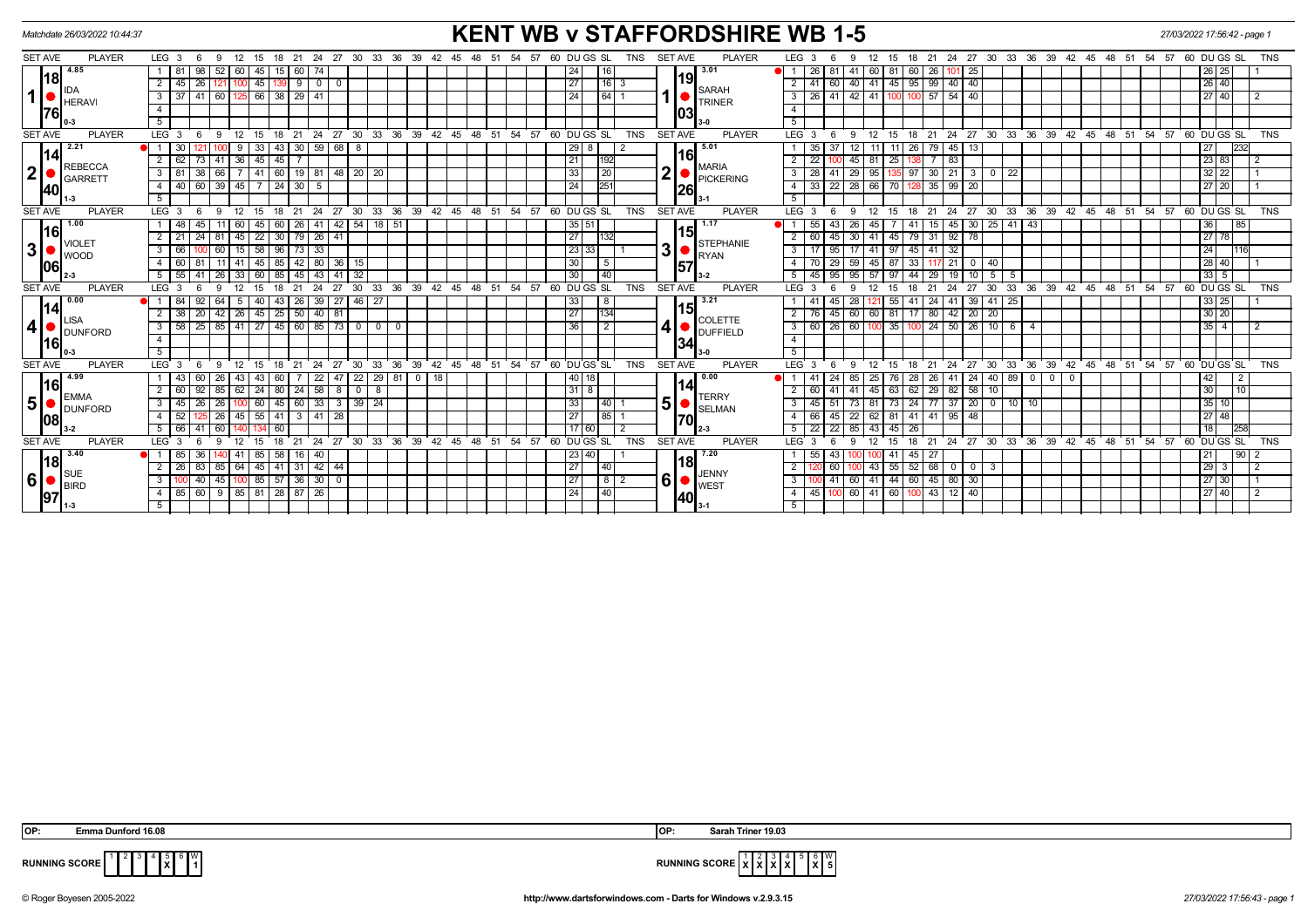| Matchdate 26/03/2022 10:44:37                                                            |                                                                                                               | <b>KENT WB v STAFFORDSHIRE WB 1-5</b>                                                              |                                                                                                                                                  | 27/03/2022 17:56:42 - page 1           |
|------------------------------------------------------------------------------------------|---------------------------------------------------------------------------------------------------------------|----------------------------------------------------------------------------------------------------|--------------------------------------------------------------------------------------------------------------------------------------------------|----------------------------------------|
| <b>PLAYER</b><br><b>SET AVE</b>                                                          | LEG <sub>3</sub><br>15 18 21 24 27 30 33 36 39 42<br>12<br>- 6<br>- 9                                         | <b>PLAYER</b><br>60 DU GS SL<br><b>SET AVE</b><br>-54<br>-57<br><b>TNS</b><br>45 48<br>- 51        | LEG <sub>3</sub><br>18  21  24  27  30  33  36  39  42  45  48  51  54  57  60  DU GS  SL<br>12<br>15<br>9                                       | TNS                                    |
| 4.85<br>l18l<br>1  <br><b>HERAVI</b><br><b>76</b>                                        | 52<br>45<br>81<br>98<br>60<br>74<br>60<br>15                                                                  | 3.01<br> 24 <br>116                                                                                | 26<br>$\overline{\phantom{0}}$ 25<br>81<br>60<br>81<br>60<br>26 I<br>41 I<br>101                                                                 | 26 25                                  |
|                                                                                          | $45$   26  <br>$45$   139   9   0  <br>$\overline{2}$<br>$\overline{0}$<br>121 I                              | 19<br> 27 <br>$ 16 $ 3                                                                             | 40 41 45 95 99 40 40<br>$2 \mid 41$<br>60                                                                                                        | 26 40                                  |
|                                                                                          | 60   125   66   38   29   41<br>$\overline{\mathbf{3}}$<br>37 I 41                                            | <b>SARAH</b><br>1 <sup>1</sup><br>24 <sub>1</sub><br> 64 <br><b>TRINER</b>                         | $3 \mid 26 \mid 41$<br>$142$ 41<br>$100$ 57 54 40<br>100                                                                                         | 27 40                                  |
|                                                                                          | $\overline{4}$                                                                                                | lo3                                                                                                | $\overline{4}$                                                                                                                                   |                                        |
|                                                                                          | 5                                                                                                             |                                                                                                    | 5                                                                                                                                                |                                        |
| <b>SET AVE</b><br><b>PLAYER</b>                                                          | $LEG$ 3<br>$27$ 30 33 36 39 42<br>21<br>24<br>-9<br>12<br>18<br>15                                            | 48<br>54<br>57<br>60 DUGS SL<br><b>TNS</b><br>SET AVE<br><b>PLAYER</b><br>45<br>້ 51               | LEG <sub>3</sub><br>27 30 33 36 39<br>$42 \quad 45 \quad 48 \quad 51$<br>54<br>57<br>24<br>$12 \overline{ }$<br>18<br>21<br>15                   | $60$ DU GS SL<br><b>TNS</b>            |
| 2.21                                                                                     | 59<br>68<br>33                                                                                                | 5.01<br>29                                                                                         | 45<br>35<br>-37<br>79.<br>26                                                                                                                     | 27<br>232                              |
| 114<br><b>REBECCA</b>                                                                    | 45<br>$\overline{2}$<br>62<br>45<br>73<br>$41 \overline{)36}$                                                 | 16 <br>21<br>1192<br>MARIA                                                                         | $\overline{22}$<br>$45$ 81<br>$7 \overline{\phantom{0}83}$<br>25                                                                                 | 23  83<br>$\overline{2}$               |
| 2 <sub>1</sub><br><b>GARRETT</b>                                                         | 41 60 19 81 48 20 20<br>38<br>66<br>$\overline{\phantom{a}3}$<br>81                                           | 2 <sup>1</sup><br> 20 <br>33<br>PICKERING                                                          | $97$ 30 21<br>22<br>$3 \mid 28$<br>$-41$<br>29 95<br>$3$ 0                                                                                       | $32 \mid 22$                           |
| <b>140</b>                                                                               | 60<br>$39 \mid 45$<br>7 24 30<br>4<br>40<br>5                                                                 | 251<br>24<br><b>26</b>                                                                             | $4 \mid 33$<br>$\overline{22}$<br>28 66<br>35   99<br>20<br>70                                                                                   | 27 20                                  |
|                                                                                          | 5                                                                                                             |                                                                                                    | 5                                                                                                                                                |                                        |
| <b>PLAYER</b><br><b>SET AVE</b>                                                          | 30 33 36 39 42 45 48 51<br>LEG <sup>3</sup><br>$^{\circ}$ 12<br>$^{\circ}$ 21<br>24 27<br>6<br>-9<br>15<br>18 | $54$ $57$ $60$ $DU$ $GS$ $SL$<br><b>PLAYER</b><br><b>TNS</b><br><b>SET AVE</b>                     | 24 27 30<br>33 36 39 42 45 48 51 54 57 60 DUGS SL<br>LEG <sub>3</sub><br>12<br>18 21<br>-9<br>15<br>6                                            | <b>TNS</b>                             |
| 1.00                                                                                     | $42$ 54 18 51<br>48<br>45<br>45<br>$60$   26  <br>41<br>60                                                    | 35 51 <br>  1.17                                                                                   | $41 \mid 43$<br>55<br>45<br>$15 \mid 45 \mid 30 \mid 25 \mid$<br>43<br>26 <sup>1</sup><br>41 I                                                   | 36<br>85                               |
| l16l<br><b>VIOLET</b>                                                                    | $\overline{2}$<br>$\overline{22}$<br>30<br> 79 26 <br>24<br>45<br>41<br>21<br>81                              | 15 <br>27 <sup>1</sup><br>STEPHANIE                                                                | 60<br>45<br>45<br>$92$ 78<br>41<br>79<br>31<br>2<br>30 I                                                                                         | $\sqrt{27}$ 78                         |
| 3 <sup>1</sup><br><b>WOOD</b>                                                            | 58<br>$96$ 73 33<br>3 <sup>1</sup><br>66<br>60<br>15                                                          | 3 <sup>1</sup><br>23 33 <br><b>RYAN</b>                                                            | 95<br>32<br>3 I<br>17<br>-41<br>97<br>45<br>41 I<br>17 <sup>1</sup>                                                                              | 24<br>116                              |
| 106                                                                                      | 45   85   42   80   36   15  <br>4   60   81<br>$11$ 41                                                       | 30<br>$\overline{5}$<br>157                                                                        | $\overline{29}$<br>$4 \overline{70}$<br>87<br>$59 \mid 45$<br>33<br>117 21<br>$0 \mid 40$                                                        | 28 40 <br>∣ 1                          |
|                                                                                          | $5 \mid 55 \mid 41$<br>$26$ 33 60<br>85 45 43 41 32                                                           | 30 <sup>1</sup><br>$\overline{140}$<br>$3 - 2$                                                     | $5 \mid 45 \mid 95$<br>44 29 19<br>$95 \ 57$<br>$\sqrt{97}$<br>$10 \mid 5 \mid$<br>5                                                             | $\sqrt{33} \sqrt{5}$                   |
| <b>SET AVE</b><br><b>PLAYER</b>                                                          | $LEG$ 3<br>21<br>24<br>27<br>30<br>່ 33<br>$\mathbf{q}$<br>12<br>15 <sub>15</sub><br>18<br>-6                 | 36 39 42 45 48 51<br>$54$ $57$ $60$ DU GS SL<br><b>TNS</b><br><b>SET AVE</b><br><b>PLAYER</b>      | 33 36 39 42 45 48 51 54 57<br>LEG <sub>3</sub><br>18<br>24<br>27<br>30<br>12<br>15<br>21                                                         | 60 DUGS SL<br><b>TNS</b>               |
| 0.00                                                                                     | 43   26   39   27   46   27<br>64<br>40 l<br>OI 1 I<br>92<br>- 5                                              | 33<br>3.21<br>$\sqrt{8}$<br> 15                                                                    | $39$ 41 25<br>28 <sup>1</sup><br>55<br>41<br>24<br>41<br>41<br>45                                                                                | 33 25                                  |
| <u> 14</u><br>.ISA                                                                       | $\overline{2}$<br>42   26   45   25   50   40   81<br>$38$   20                                               | 27<br>1134<br>COLETTE                                                                              | 76<br>45<br>60 60 81 17 80 42 20 20<br>2 I                                                                                                       | 30 20                                  |
| 4 <sup>1</sup><br><b>DUNFORD</b><br><u> 116 </u>                                         | 58 25 85 41 27 45 60 85 73 0 0<br>$\overline{\phantom{a}3}$<br>$\overline{\mathbf{0}}$                        | 4ŀ<br>36<br>$\sqrt{2}$<br>DUFFIELD                                                                 | $3 \mid 60$<br>26<br>  60   100   35   100   24   50   26   10   6  <br>-4                                                                       | $35$   4<br>2                          |
|                                                                                          | $\overline{4}$                                                                                                | 134                                                                                                | $\overline{4}$                                                                                                                                   |                                        |
|                                                                                          | 5 <sup>5</sup>                                                                                                |                                                                                                    | 5                                                                                                                                                |                                        |
| <b>SET AVE</b><br><b>PLAYER</b>                                                          | 36<br>39<br>30<br>33<br>LEG <sub>3</sub><br>21<br>24<br>27<br>-9<br>18<br>15                                  | 42<br>$48 \t 51$<br>54<br>57<br>60 DU GS SL<br><b>TNS</b><br><b>SET AVE</b><br><b>PLAYER</b><br>45 | 36<br>39<br>27<br>30<br>33<br>42<br>45 48 51 54<br>57<br>LEG <sub>3</sub><br>24<br>12<br>18<br>21<br><b>q</b><br>15                              | $60$ DU GS SL<br><b>TNS</b>            |
| 4.99<br>I16I                                                                             | $47$   22   29   81   0   18<br>22<br>43 I<br>60<br>26 43<br>43 <br>60                                        | 40   18  <br>0.00<br>114                                                                           | 890000<br> 40 <br>24<br>26 <sup>1</sup><br>41<br>24<br>41<br>85 I<br>25<br>76<br>28                                                              | 42<br>2                                |
| EMMA                                                                                     | $80 \mid 24 \mid 58 \mid$<br>$\overline{2}$<br>60<br>92<br>85<br>24<br>$8$ 0 8<br>62                          | 3118<br><b>TERRY</b>                                                                               | 62 29 82 58 10<br>63<br>60<br>41<br>45<br>41 I                                                                                                   | 30<br>$\overline{10}$                  |
| 5 <sup>1</sup><br><b>DUNFORD</b><br><b>108</b>                                           | 33<br>$\mathbf{3}$<br>60<br>3   39   24<br>45<br>26<br>26<br>45<br>60 I                                       | 5 <sup>1</sup><br>33<br> 40 <br>SELMAN                                                             | $20 \mid 0$<br>24<br>77 37<br>10 10<br>$\overline{3}$<br>45<br>51<br>73<br>73 I                                                                  | 35 10                                  |
|                                                                                          | 55<br>3   41   28<br>$\overline{4}$<br>52<br>26<br>45<br>-41                                                  | 85 <br>27 <sup>1</sup><br> 70                                                                      | 66<br>62<br>81<br>41 I<br>41 95<br>48<br>45<br>22 I                                                                                              | 27 48                                  |
|                                                                                          | 5 <sup>1</sup><br>66 I<br>$\Delta$ 1<br>-60                                                                   | 17 60<br>$2 - 3$                                                                                   | 22<br>22<br>45<br>26<br>85 I<br>43                                                                                                               | 18<br>1258                             |
| <b>PLAYER</b><br><b>SET AVE</b>                                                          | LEG <sup>3</sup><br>27<br>30 33 36 39 42<br>18<br>21<br>24<br>Q<br>12<br>15                                   | <b>PLAYER</b><br>$^{\circ}$ 45<br>48<br>51<br>54 57<br>60 DU GS SL<br><b>TNS</b><br><b>SET AVE</b> | LEG <sub>3</sub><br>$30^{\circ}$<br>33<br>36<br>$\cdot$ 39<br>42<br>$45 \quad 48 \quad 51$<br>54<br>57<br>18<br>21<br>24<br>27<br>12<br>15<br>۰Q | 60 DUGS SL<br><b>TNS</b>               |
| 3.40<br><u> 18</u><br><b>SUE</b><br>6 <sup>1</sup><br>$\blacksquare$ BIRD<br>97<br>$1-3$ | $\bullet$ $\Box$<br>85<br>58<br>40<br>85<br>36<br>41<br>16                                                    | 7.20<br>23 40 <br>118                                                                              | 55<br>$-45$<br>-43<br>41<br>27                                                                                                                   | 21 <br>$\overline{190}$                |
|                                                                                          | $\overline{2}$<br>45<br>$31 \mid 42 \mid 44$<br>26 I<br>83<br>85 64<br>41                                     | 27<br>$ 40\rangle$<br>JENNY                                                                        | $\overline{2}$<br>55<br>$52 \mid 68 \mid$<br>60<br>43<br>$\mathbf 0$<br>$0 \mid 3$                                                               | $\sqrt{29} \sqrt{3}$<br>$\overline{2}$ |
|                                                                                          | 45   100   85   57   36   30   0<br>$\overline{3}$<br>40                                                      | 6 <br>  27  <br><b>WEST</b>                                                                        | 44 60 45 80 30<br>3 <sup>1</sup><br>41 60 41<br>100                                                                                              | 27 30 <br>$\overline{1}$               |
|                                                                                          | 4   85   60   9   85   81   28   87   26                                                                      | $ 40\rangle$<br> 24 <br> 40                                                                        | 4   45   100   60   41   60   100   43   12   40                                                                                                 | 27 40 <br>$\overline{12}$              |
|                                                                                          | 5                                                                                                             | $3 - 1$                                                                                            | 5                                                                                                                                                |                                        |

**X** W



**RUNNING SCORE**